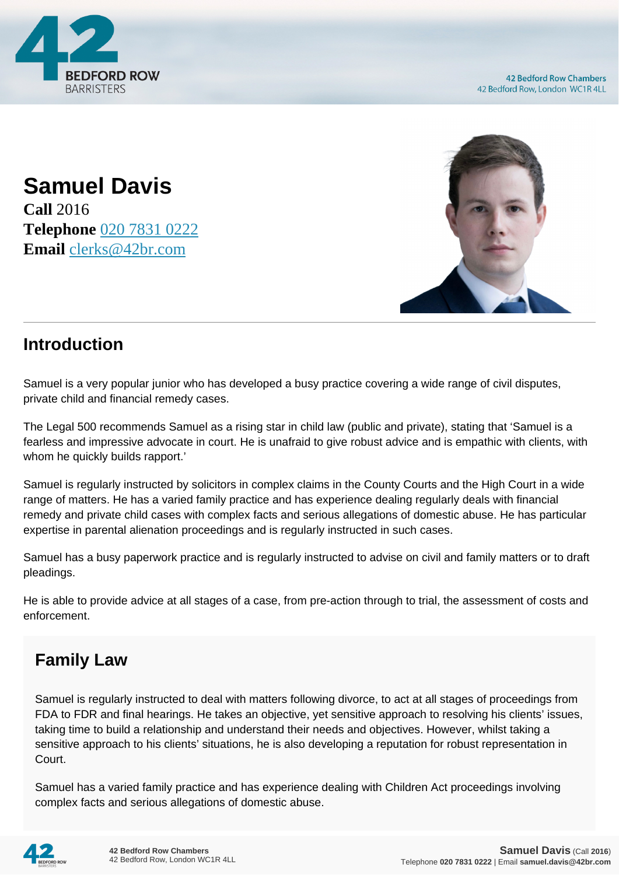

**Samuel Davis Call** 2016 **Telephone** [020 7831 0222](https://pdf.codeshore.co/_42br/tel:020 7831 0222) **Email** [clerks@42br.com](mailto:clerks@42br.com)



## **Introduction**

Samuel is a very popular junior who has developed a busy practice covering a wide range of civil disputes, private child and financial remedy cases.

The Legal 500 recommends Samuel as a rising star in child law (public and private), stating that 'Samuel is a fearless and impressive advocate in court. He is unafraid to give robust advice and is empathic with clients, with whom he quickly builds rapport.'

Samuel is regularly instructed by solicitors in complex claims in the County Courts and the High Court in a wide range of matters. He has a varied family practice and has experience dealing regularly deals with financial remedy and private child cases with complex facts and serious allegations of domestic abuse. He has particular expertise in parental alienation proceedings and is regularly instructed in such cases.

Samuel has a busy paperwork practice and is regularly instructed to advise on civil and family matters or to draft pleadings.

He is able to provide advice at all stages of a case, from pre-action through to trial, the assessment of costs and enforcement.

## **Family Law**

Samuel is regularly instructed to deal with matters following divorce, to act at all stages of proceedings from FDA to FDR and final hearings. He takes an objective, yet sensitive approach to resolving his clients' issues, taking time to build a relationship and understand their needs and objectives. However, whilst taking a sensitive approach to his clients' situations, he is also developing a reputation for robust representation in Court.

Samuel has a varied family practice and has experience dealing with Children Act proceedings involving complex facts and serious allegations of domestic abuse.